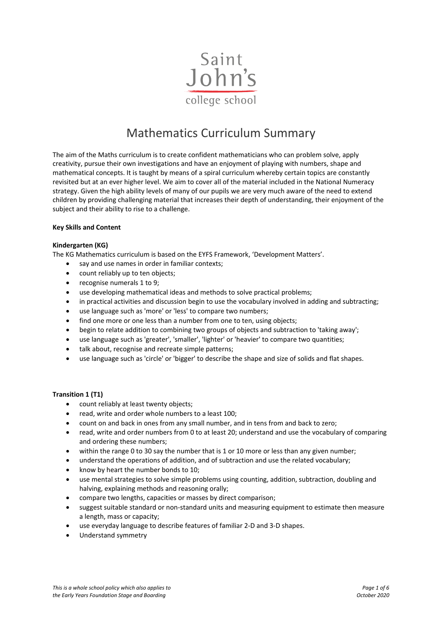

# Mathematics Curriculum Summary

The aim of the Maths curriculum is to create confident mathematicians who can problem solve, apply creativity, pursue their own investigations and have an enjoyment of playing with numbers, shape and mathematical concepts. It is taught by means of a spiral curriculum whereby certain topics are constantly revisited but at an ever higher level. We aim to cover all of the material included in the National Numeracy strategy. Given the high ability levels of many of our pupils we are very much aware of the need to extend children by providing challenging material that increases their depth of understanding, their enjoyment of the subject and their ability to rise to a challenge.

#### **Key Skills and Content**

#### **Kindergarten (KG)**

The KG Mathematics curriculum is based on the EYFS Framework, 'Development Matters'.

- say and use names in order in familiar contexts;
- count reliably up to ten objects;
- recognise numerals 1 to 9;
- use developing mathematical ideas and methods to solve practical problems;
- in practical activities and discussion begin to use the vocabulary involved in adding and subtracting;
- use language such as 'more' or 'less' to compare two numbers;
- find one more or one less than a number from one to ten, using objects;
- begin to relate addition to combining two groups of objects and subtraction to 'taking away';
- use language such as 'greater', 'smaller', 'lighter' or 'heavier' to compare two quantities;
- talk about, recognise and recreate simple patterns;
- use language such as 'circle' or 'bigger' to describe the shape and size of solids and flat shapes.

#### **Transition 1 (T1)**

- count reliably at least twenty objects;
- read, write and order whole numbers to a least 100;
- count on and back in ones from any small number, and in tens from and back to zero;
- read, write and order numbers from 0 to at least 20; understand and use the vocabulary of comparing and ordering these numbers;
- within the range 0 to 30 say the number that is 1 or 10 more or less than any given number;
- understand the operations of addition, and of subtraction and use the related vocabulary;
- know by heart the number bonds to 10;
- use mental strategies to solve simple problems using counting, addition, subtraction, doubling and halving, explaining methods and reasoning orally;
- compare two lengths, capacities or masses by direct comparison;
- suggest suitable standard or non-standard units and measuring equipment to estimate then measure a length, mass or capacity;
- use everyday language to describe features of familiar 2-D and 3-D shapes.
- Understand symmetry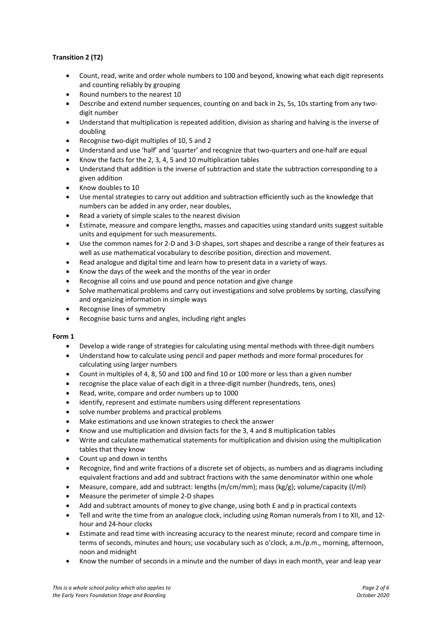## **Transition 2 (T2)**

- Count, read, write and order whole numbers to 100 and beyond, knowing what each digit represents and counting reliably by grouping
- Round numbers to the nearest 10
- Describe and extend number sequences, counting on and back in 2s, 5s, 10s starting from any twodigit number
- Understand that multiplication is repeated addition, division as sharing and halving is the inverse of doubling
- Recognise two-digit multiples of 10, 5 and 2
- Understand and use 'half' and 'quarter' and recognize that two-quarters and one-half are equal
- Know the facts for the 2, 3, 4, 5 and 10 multiplication tables
- Understand that addition is the inverse of subtraction and state the subtraction corresponding to a given addition
- Know doubles to 10
- Use mental strategies to carry out addition and subtraction efficiently such as the knowledge that numbers can be added in any order, near doubles,
- Read a variety of simple scales to the nearest division
- Estimate, measure and compare lengths, masses and capacities using standard units suggest suitable units and equipment for such measurements.
- Use the common names for 2-D and 3-D shapes, sort shapes and describe a range of their features as well as use mathematical vocabulary to describe position, direction and movement.
- Read analogue and digital time and learn how to present data in a variety of ways.
- Know the days of the week and the months of the year in order
- Recognise all coins and use pound and pence notation and give change
- Solve mathematical problems and carry out investigations and solve problems by sorting, classifying and organizing information in simple ways
- Recognise lines of symmetry
- Recognise basic turns and angles, including right angles

## **Form 1**

- Develop a wide range of strategies for calculating using mental methods with three-digit numbers
- Understand how to calculate using pencil and paper methods and more formal procedures for calculating using larger numbers
- Count in multiples of 4, 8, 50 and 100 and find 10 or 100 more or less than a given number
- recognise the place value of each digit in a three-digit number (hundreds, tens, ones)
- Read, write, compare and order numbers up to 1000
- identify, represent and estimate numbers using different representations
- solve number problems and practical problems
- Make estimations and use known strategies to check the answer
- Know and use multiplication and division facts for the 3, 4 and 8 multiplication tables
- Write and calculate mathematical statements for multiplication and division using the multiplication tables that they know
- Count up and down in tenths
- Recognize, find and write fractions of a discrete set of objects, as numbers and as diagrams including equivalent fractions and add and subtract fractions with the same denominator within one whole
- Measure, compare, add and subtract: lengths (m/cm/mm); mass (kg/g); volume/capacity (l/ml)
- Measure the perimeter of simple 2-D shapes
- Add and subtract amounts of money to give change, using both £ and p in practical contexts
- Tell and write the time from an analogue clock, including using Roman numerals from I to XII, and 12 hour and 24-hour clocks
- Estimate and read time with increasing accuracy to the nearest minute; record and compare time in terms of seconds, minutes and hours; use vocabulary such as o'clock, a.m./p.m., morning, afternoon, noon and midnight
- Know the number of seconds in a minute and the number of days in each month, year and leap year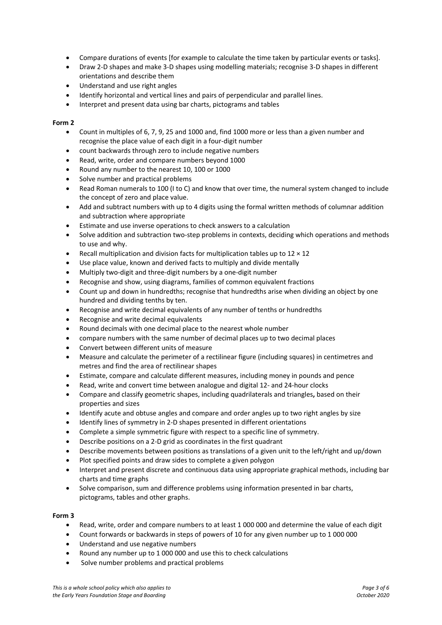- Compare durations of events [for example to calculate the time taken by particular events or tasks].
- Draw 2-D shapes and make 3-D shapes using modelling materials; recognise 3-D shapes in different orientations and describe them
- Understand and use right angles
- Identify horizontal and vertical lines and pairs of perpendicular and parallel lines.
- Interpret and present data using bar charts, pictograms and tables

#### **Form 2**

- Count in multiples of 6, 7, 9, 25 and 1000 and, find 1000 more or less than a given number and recognise the place value of each digit in a four-digit number
- count backwards through zero to include negative numbers
- Read, write, order and compare numbers beyond 1000
- Round any number to the nearest 10, 100 or 1000
- Solve number and practical problems
- Read Roman numerals to 100 (I to C) and know that over time, the numeral system changed to include the concept of zero and place value.
- Add and subtract numbers with up to 4 digits using the formal written methods of columnar addition and subtraction where appropriate
- Estimate and use inverse operations to check answers to a calculation
- Solve addition and subtraction two-step problems in contexts, deciding which operations and methods to use and why.
- Recall multiplication and division facts for multiplication tables up to  $12 \times 12$
- Use place value, known and derived facts to multiply and divide mentally
- Multiply two-digit and three-digit numbers by a one-digit number
- Recognise and show, using diagrams, families of common equivalent fractions
- Count up and down in hundredths; recognise that hundredths arise when dividing an object by one hundred and dividing tenths by ten.
- Recognise and write decimal equivalents of any number of tenths or hundredths
- Recognise and write decimal equivalents
- Round decimals with one decimal place to the nearest whole number
- compare numbers with the same number of decimal places up to two decimal places
- Convert between different units of measure
- Measure and calculate the perimeter of a rectilinear figure (including squares) in centimetres and metres and find the area of rectilinear shapes
- Estimate, compare and calculate different measures, including money in pounds and pence
- Read, write and convert time between analogue and digital 12- and 24-hour clocks
- Compare and classify geometric shapes, including quadrilaterals and triangles**,** based on their properties and sizes
- Identify acute and obtuse angles and compare and order angles up to two right angles by size
- Identify lines of symmetry in 2-D shapes presented in different orientations
- Complete a simple symmetric figure with respect to a specific line of symmetry.
- Describe positions on a 2-D grid as coordinates in the first quadrant
- Describe movements between positions as translations of a given unit to the left/right and up/down
- Plot specified points and draw sides to complete a given polygon
- Interpret and present discrete and continuous data using appropriate graphical methods, including bar charts and time graphs
- Solve comparison, sum and difference problems using information presented in bar charts, pictograms, tables and other graphs.

#### **Form 3**

- Read, write, order and compare numbers to at least 1 000 000 and determine the value of each digit
- Count forwards or backwards in steps of powers of 10 for any given number up to 1 000 000
- Understand and use negative numbers
- Round any number up to 1 000 000 and use this to check calculations
- Solve number problems and practical problems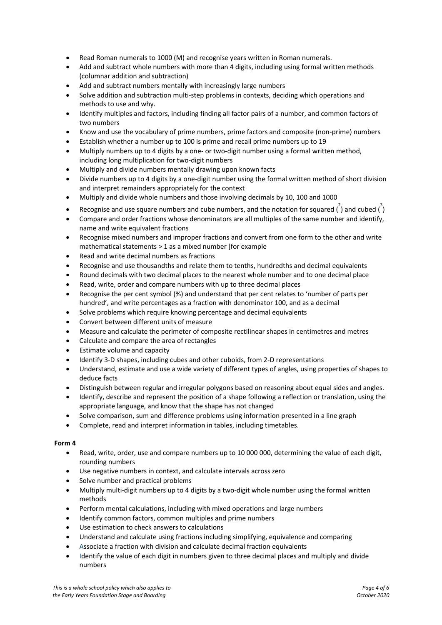- Read Roman numerals to 1000 (M) and recognise years written in Roman numerals.
- Add and subtract whole numbers with more than 4 digits, including using formal written methods (columnar addition and subtraction)
- Add and subtract numbers mentally with increasingly large numbers
- Solve addition and subtraction multi-step problems in contexts, deciding which operations and methods to use and why.
- Identify multiples and factors, including finding all factor pairs of a number, and common factors of two numbers
- Know and use the vocabulary of prime numbers, prime factors and composite (non-prime) numbers
- Establish whether a number up to 100 is prime and recall prime numbers up to 19
- Multiply numbers up to 4 digits by a one- or two-digit number using a formal written method, including long multiplication for two-digit numbers
- Multiply and divide numbers mentally drawing upon known facts
- Divide numbers up to 4 digits by a one-digit number using the formal written method of short division and interpret remainders appropriately for the context
- Multiply and divide whole numbers and those involving decimals by 10, 100 and 1000
- Recognise and use square numbers and cube numbers, and the notation for squared  $\binom{2}{1}$  and cubed  $\binom{3}{1}$
- Compare and order fractions whose denominators are all multiples of the same number and identify, name and write equivalent fractions
- Recognise mixed numbers and improper fractions and convert from one form to the other and write mathematical statements > 1 as a mixed number [for example
- Read and write decimal numbers as fractions
- Recognise and use thousandths and relate them to tenths, hundredths and decimal equivalents
- Round decimals with two decimal places to the nearest whole number and to one decimal place
- Read, write, order and compare numbers with up to three decimal places
- Recognise the per cent symbol (%) and understand that per cent relates to 'number of parts per hundred', and write percentages as a fraction with denominator 100, and as a decimal
- Solve problems which require knowing percentage and decimal equivalents
- Convert between different units of measure
- Measure and calculate the perimeter of composite rectilinear shapes in centimetres and metres
- Calculate and compare the area of rectangles
- Estimate volume and capacity
- Identify 3-D shapes, including cubes and other cuboids, from 2-D representations
- Understand, estimate and use a wide variety of different types of angles, using properties of shapes to deduce facts
- Distinguish between regular and irregular polygons based on reasoning about equal sides and angles.
- Identify, describe and represent the position of a shape following a reflection or translation, using the appropriate language, and know that the shape has not changed
- Solve comparison, sum and difference problems using information presented in a line graph
- Complete, read and interpret information in tables, including timetables.

#### **Form 4**

- Read, write, order, use and compare numbers up to 10 000 000, determining the value of each digit, rounding numbers
- Use negative numbers in context, and calculate intervals across zero
- Solve number and practical problems
- Multiply multi-digit numbers up to 4 digits by a two-digit whole number using the formal written methods
- Perform mental calculations, including with mixed operations and large numbers
- Identify common factors, common multiples and prime numbers
- Use estimation to check answers to calculations
- Understand and calculate using fractions including simplifying, equivalence and comparing
- Associate a fraction with division and calculate decimal fraction equivalents
- Identify the value of each digit in numbers given to three decimal places and multiply and divide numbers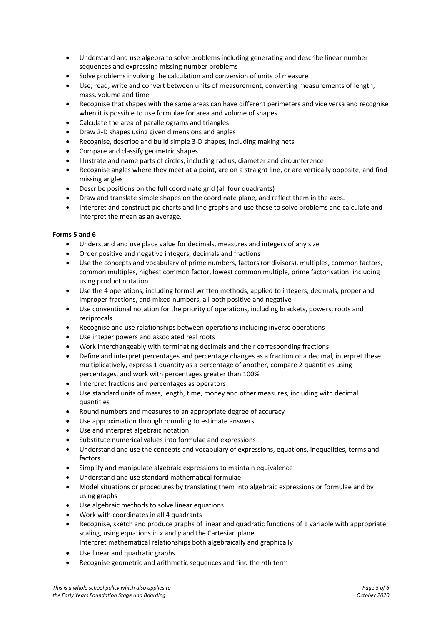- Understand and use algebra to solve problems including generating and describe linear number sequences and expressing missing number problems
- Solve problems involving the calculation and conversion of units of measure
- Use, read, write and convert between units of measurement, converting measurements of length, mass, volume and time
- Recognise that shapes with the same areas can have different perimeters and vice versa and recognise when it is possible to use formulae for area and volume of shapes
- Calculate the area of parallelograms and triangles
- Draw 2-D shapes using given dimensions and angles
- Recognise, describe and build simple 3-D shapes, including making nets
- Compare and classify geometric shapes
- Illustrate and name parts of circles, including radius, diameter and circumference
- Recognise angles where they meet at a point, are on a straight line, or are vertically opposite, and find missing angles
- Describe positions on the full coordinate grid (all four quadrants)
- Draw and translate simple shapes on the coordinate plane, and reflect them in the axes.
- Interpret and construct pie charts and line graphs and use these to solve problems and calculate and interpret the mean as an average.

#### **Forms 5 and 6**

- Understand and use place value for decimals, measures and integers of any size
- Order positive and negative integers, decimals and fractions
- Use the concepts and vocabulary of prime numbers, factors (or divisors), multiples, common factors, common multiples, highest common factor, lowest common multiple, prime factorisation, including using product notation
- Use the 4 operations, including formal written methods, applied to integers, decimals, proper and improper fractions, and mixed numbers, all both positive and negative
- Use conventional notation for the priority of operations, including brackets, powers, roots and reciprocals
- Recognise and use relationships between operations including inverse operations
- Use integer powers and associated real roots
- Work interchangeably with terminating decimals and their corresponding fractions
- Define and interpret percentages and percentage changes as a fraction or a decimal, interpret these multiplicatively, express 1 quantity as a percentage of another, compare 2 quantities using percentages, and work with percentages greater than 100%
- Interpret fractions and percentages as operators
- Use standard units of mass, length, time, money and other measures, including with decimal quantities
- Round numbers and measures to an appropriate degree of accuracy
- Use approximation through rounding to estimate answers
- Use and interpret algebraic notation
- Substitute numerical values into formulae and expressions
- Understand and use the concepts and vocabulary of expressions, equations, inequalities, terms and factors
- Simplify and manipulate algebraic expressions to maintain equivalence
- Understand and use standard mathematical formulae
- Model situations or procedures by translating them into algebraic expressions or formulae and by using graphs
- Use algebraic methods to solve linear equations
- Work with coordinates in all 4 quadrants
- Recognise, sketch and produce graphs of linear and quadratic functions of 1 variable with appropriate scaling, using equations in *x* and *y* and the Cartesian plane Interpret mathematical relationships both algebraically and graphically
- Use linear and quadratic graphs
- Recognise geometric and arithmetic sequences and find the *n*th term